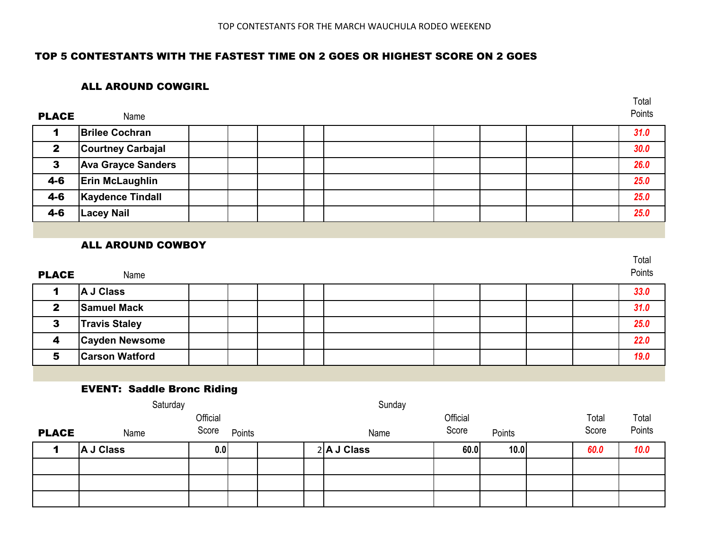Total

### TOP 5 CONTESTANTS WITH THE FASTEST TIME ON 2 GOES OR HIGHEST SCORE ON 2 GOES

#### ALL AROUND COWGIRL

| <b>PLACE</b> | Name                      |  |  |  |  | Points |
|--------------|---------------------------|--|--|--|--|--------|
|              | <b>Brilee Cochran</b>     |  |  |  |  | 31.0   |
| $\mathbf{2}$ | <b>Courtney Carbajal</b>  |  |  |  |  | 30.0   |
| 3            | <b>Ava Grayce Sanders</b> |  |  |  |  | 26.0   |
| $4 - 6$      | <b>Erin McLaughlin</b>    |  |  |  |  | 25.0   |
| $4 - 6$      | <b>Kaydence Tindall</b>   |  |  |  |  | 25.0   |
| $4 - 6$      | <b>Lacey Nail</b>         |  |  |  |  | 25.0   |

### ALL AROUND COWBOY

| <b>PLACE</b> | Name                  |  |  |  |  | Total<br>Points |
|--------------|-----------------------|--|--|--|--|-----------------|
|              | A J Class             |  |  |  |  | 33.0            |
| 2            | <b>Samuel Mack</b>    |  |  |  |  | 31.0            |
| 3            | <b>Travis Staley</b>  |  |  |  |  | 25.0            |
| 4            | <b>Cayden Newsome</b> |  |  |  |  | 22.0            |
| 5            | <b>Carson Watford</b> |  |  |  |  | 19.0            |
|              |                       |  |  |  |  |                 |

## EVENT: Saddle Bronc Riding

|              | Saturday  |          |        |  | Sunday        |          |        |       |        |
|--------------|-----------|----------|--------|--|---------------|----------|--------|-------|--------|
|              |           | Official |        |  |               | Official |        | Total | Total  |
| <b>PLACE</b> | Name      | Score    | Points |  | Name          | Score    | Points | Score | Points |
|              | A J Class | 0.0      |        |  | $2$ A J Class | 60.0     | 10.0   | 60.0  | 10.0   |
|              |           |          |        |  |               |          |        |       |        |
|              |           |          |        |  |               |          |        |       |        |
|              |           |          |        |  |               |          |        |       |        |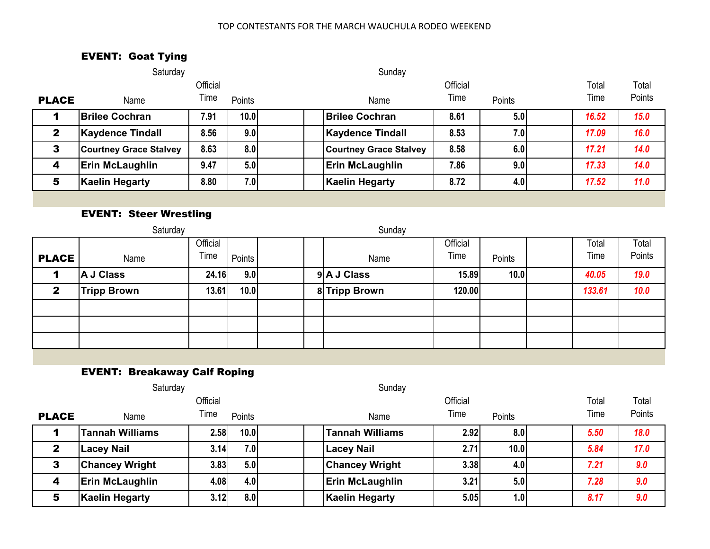#### TOP CONTESTANTS FOR THE MARCH WAUCHULA RODEO WEEKEND

# EVENT: Goat Tying

|              | Saturday                      |          |        | Sunday                        |          |        |  |       |        |
|--------------|-------------------------------|----------|--------|-------------------------------|----------|--------|--|-------|--------|
|              |                               | Official |        |                               | Official |        |  |       |        |
| <b>PLACE</b> | Name                          | Time     | Points | Name                          | Time     | Points |  | Time  | Points |
|              | <b>Brilee Cochran</b>         | 7.91     | 10.0   | <b>Brilee Cochran</b>         | 8.61     | 5.0    |  | 16.52 | 15.0   |
| $\mathbf{2}$ | <b>Kaydence Tindall</b>       | 8.56     | 9.0    | <b>Kaydence Tindall</b>       | 8.53     | 7.0    |  | 17.09 | 16.0   |
| 3            | <b>Courtney Grace Stalvey</b> | 8.63     | 8.0    | <b>Courtney Grace Stalvey</b> | 8.58     | 6.0    |  | 17.21 | 14.0   |
| 4            | <b>Erin McLaughlin</b>        | 9.47     | 5.0    | <b>Erin McLaughlin</b>        | 7.86     | 9.0    |  | 17.33 | 14.0   |
| 5            | <b>Kaelin Hegarty</b>         | 8.80     | 7.0    | <b>Kaelin Hegarty</b>         | 8.72     | 4.0    |  | 17.52 | 11.0   |
|              |                               |          |        |                               |          |        |  |       |        |

## EVENT: Steer Wrestling

|              | Saturday           |                  |        | Sunday        |                  |        |               |                 |
|--------------|--------------------|------------------|--------|---------------|------------------|--------|---------------|-----------------|
| <b>PLACE</b> | Name               | Official<br>Time | Points | Name          | Official<br>Time | Points | Total<br>Time | Total<br>Points |
|              | A J Class          | 24.16            | 9.0    | 9 A J Class   | 15.89            | 10.0   | 40.05         | 19.0            |
| $\mathbf{2}$ | <b>Tripp Brown</b> | 13.61            | 10.0   | 8 Tripp Brown | 120.00           |        | 133.61        | 10.0            |
|              |                    |                  |        |               |                  |        |               |                 |
|              |                    |                  |        |               |                  |        |               |                 |
|              |                    |                  |        |               |                  |        |               |                 |

# EVENT: Breakaway Calf Roping

|              | Saturday               |      |          |                        | Sunday |                   |                  |       |      |        |
|--------------|------------------------|------|----------|------------------------|--------|-------------------|------------------|-------|------|--------|
|              |                        |      | Official |                        |        |                   |                  | Total |      |        |
| <b>PLACE</b> | Name                   | Time | Points   | Name                   | Time   |                   | Points           |       | Time | Points |
|              | Tannah Williams        | 2.58 | 10.0     | <b>Tannah Williams</b> |        | 2.92              | 8.0              |       | 5.50 | 18.0   |
| $\mathbf{2}$ | <b>Lacey Nail</b>      | 3.14 | 7.0      | <b>Lacey Nail</b>      |        | 2.71              | 10.0             |       | 5.84 | 17.0   |
| 3            | <b>Chancey Wright</b>  | 3.83 | 5.0      | <b>Chancey Wright</b>  |        | 3.38 <sub>l</sub> | 4.0              |       | 7.21 | 9.0    |
| 4            | <b>Erin McLaughlin</b> | 4.08 | 4.0      | <b>Erin McLaughlin</b> |        | 3.21              | 5.0              |       | 7.28 | 9.0    |
| 5            | <b>Kaelin Hegarty</b>  | 3.12 | 8.0      | <b>Kaelin Hegarty</b>  |        | 5.05              | 1.0 <sub>l</sub> |       | 8.17 | 9.0    |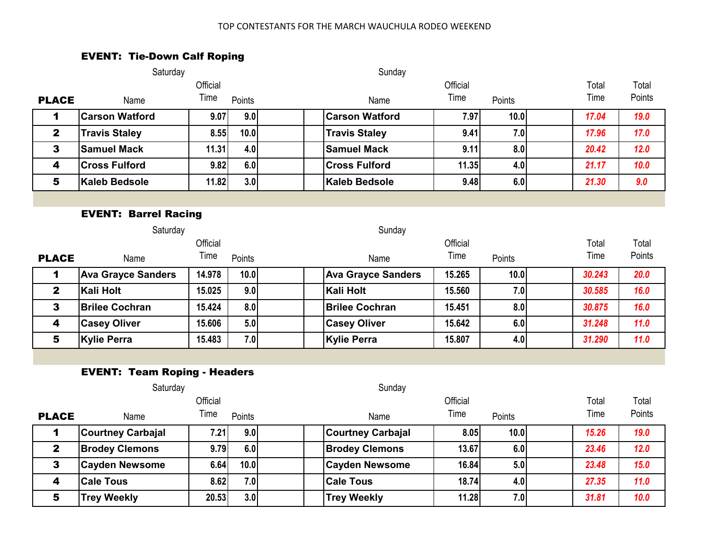#### TOP CONTESTANTS FOR THE MARCH WAUCHULA RODEO WEEKEND

## EVENT: Tie-Down Calf Roping

|                             | Saturday                            |          |        | Sunday                    |          |        |  |        |        |  |  |
|-----------------------------|-------------------------------------|----------|--------|---------------------------|----------|--------|--|--------|--------|--|--|
|                             |                                     | Official |        |                           | Official |        |  | Total  | Total  |  |  |
| <b>PLACE</b>                | Name                                | Time     | Points | Name                      | Time     | Points |  | Time   | Points |  |  |
| 1                           | <b>Carson Watford</b>               | 9.07     | 9.0    | <b>Carson Watford</b>     | 7.97     | 10.0   |  | 17.04  | 19.0   |  |  |
| $\mathbf{2}$                | <b>Travis Staley</b>                | 8.55     | 10.0   | <b>Travis Staley</b>      | 9.41     | 7.0    |  | 17.96  | 17.0   |  |  |
| $\mathbf{3}$                | <b>Samuel Mack</b>                  | 11.31    | 4.0    | <b>Samuel Mack</b>        | 9.11     | 8.0    |  | 20.42  | 12.0   |  |  |
| $\overline{\mathbf{4}}$     | <b>Cross Fulford</b>                | 9.82     | 6.0    | <b>Cross Fulford</b>      | 11.35    | 4.0    |  | 21.17  | 10.0   |  |  |
| 5                           | <b>Kaleb Bedsole</b>                | 11.82    | 3.0    | <b>Kaleb Bedsole</b>      | 9.48     | 6.0    |  | 21.30  | 9.0    |  |  |
|                             |                                     |          |        |                           |          |        |  |        |        |  |  |
| <b>EVENT: Barrel Racing</b> |                                     |          |        |                           |          |        |  |        |        |  |  |
|                             | Saturday                            |          |        | Sunday                    |          |        |  |        |        |  |  |
|                             |                                     | Official |        |                           | Official |        |  | Total  | Total  |  |  |
| <b>PLACE</b>                | Name                                | Time     | Points | Name                      | Time     | Points |  | Time   | Points |  |  |
| 1                           | <b>Ava Grayce Sanders</b>           | 14.978   | 10.0   | <b>Ava Grayce Sanders</b> | 15.265   | 10.0   |  | 30.243 | 20.0   |  |  |
| $\mathbf{2}$                | Kali Holt                           | 15.025   | 9.0    | <b>Kali Holt</b>          | 15.560   | 7.0    |  | 30.585 | 16.0   |  |  |
| $\mathbf{3}$                | <b>Brilee Cochran</b>               | 15.424   | 8.0    | <b>Brilee Cochran</b>     | 15.451   | 8.0    |  | 30.875 | 16.0   |  |  |
| 4                           | <b>Casey Oliver</b>                 | 15.606   | 5.0    | <b>Casey Oliver</b>       | 15.642   | 6.0    |  | 31.248 | 11.0   |  |  |
| 5                           | <b>Kylie Perra</b>                  | 15.483   | 7.0    | <b>Kylie Perra</b>        | 15,807   | 4.0    |  | 31.290 | 11.0   |  |  |
|                             |                                     |          |        |                           |          |        |  |        |        |  |  |
|                             | <b>EVENT: Team Roping - Headers</b> |          |        |                           |          |        |  |        |        |  |  |
|                             | Saturday                            |          |        | Sunday                    |          |        |  |        |        |  |  |
|                             |                                     | Official |        |                           | Official |        |  | Total  | Total  |  |  |
| <b>PLACE</b>                | Name                                | Time     | Points | Name                      | Time     | Points |  | Time   | Points |  |  |
| 1                           | <b>Courtney Carbajal</b>            | 7.21     | 9.0    | <b>Courtney Carbajal</b>  | 8.05     | 10.0   |  | 15.26  | 19.0   |  |  |
| $\mathbf{2}$                | <b>Brodey Clemons</b>               | 9.79     | 6.0    | <b>Brodey Clemons</b>     | 13.67    | 6.0    |  | 23.46  | 12.0   |  |  |
| $\mathbf{3}$                | <b>Cayden Newsome</b>               | 6.64     | 10.0   | <b>Cayden Newsome</b>     | 16.84    | 5.0    |  | 23.48  | 15.0   |  |  |
| $\overline{\mathbf{4}}$     | <b>Cale Tous</b>                    | 8.62     | 7.0    | <b>Cale Tous</b>          | 18.74    | 4.0    |  | 27.35  | 11.0   |  |  |
| 5                           | <b>Trey Weekly</b>                  | 20.53    | 3.0    | <b>Trey Weekly</b>        | 11.28    | 7.0    |  | 31.81  | 10.0   |  |  |